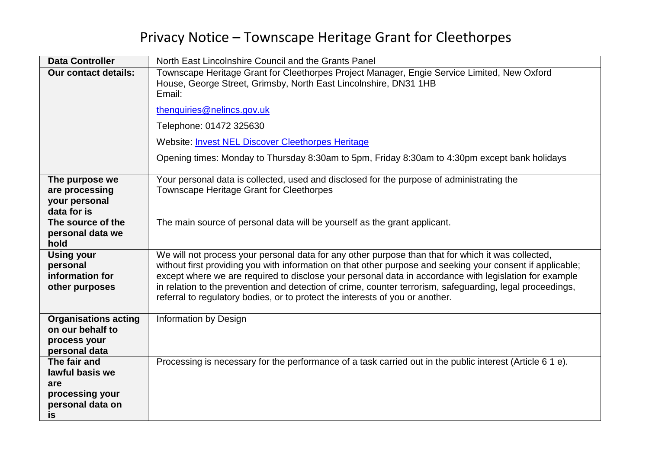## Privacy Notice – Townscape Heritage Grant for Cleethorpes

| <b>Data Controller</b>                                                              | North East Lincolnshire Council and the Grants Panel                                                                                                                                                                                                                                                                                                                                                                                                                                                                     |
|-------------------------------------------------------------------------------------|--------------------------------------------------------------------------------------------------------------------------------------------------------------------------------------------------------------------------------------------------------------------------------------------------------------------------------------------------------------------------------------------------------------------------------------------------------------------------------------------------------------------------|
| <b>Our contact details:</b>                                                         | Townscape Heritage Grant for Cleethorpes Project Manager, Engie Service Limited, New Oxford<br>House, George Street, Grimsby, North East Lincolnshire, DN31 1HB<br>Email:                                                                                                                                                                                                                                                                                                                                                |
|                                                                                     | thenquiries@nelincs.gov.uk                                                                                                                                                                                                                                                                                                                                                                                                                                                                                               |
|                                                                                     | Telephone: 01472 325630                                                                                                                                                                                                                                                                                                                                                                                                                                                                                                  |
|                                                                                     | <b>Website: Invest NEL Discover Cleethorpes Heritage</b>                                                                                                                                                                                                                                                                                                                                                                                                                                                                 |
|                                                                                     | Opening times: Monday to Thursday 8:30am to 5pm, Friday 8:30am to 4:30pm except bank holidays                                                                                                                                                                                                                                                                                                                                                                                                                            |
| The purpose we<br>are processing<br>your personal<br>data for is                    | Your personal data is collected, used and disclosed for the purpose of administrating the<br>Townscape Heritage Grant for Cleethorpes                                                                                                                                                                                                                                                                                                                                                                                    |
| The source of the<br>personal data we<br>hold                                       | The main source of personal data will be yourself as the grant applicant.                                                                                                                                                                                                                                                                                                                                                                                                                                                |
| <b>Using your</b><br>personal<br>information for<br>other purposes                  | We will not process your personal data for any other purpose than that for which it was collected,<br>without first providing you with information on that other purpose and seeking your consent if applicable;<br>except where we are required to disclose your personal data in accordance with legislation for example<br>in relation to the prevention and detection of crime, counter terrorism, safeguarding, legal proceedings,<br>referral to regulatory bodies, or to protect the interests of you or another. |
| <b>Organisations acting</b><br>on our behalf to<br>process your<br>personal data    | Information by Design                                                                                                                                                                                                                                                                                                                                                                                                                                                                                                    |
| The fair and<br>lawful basis we<br>are<br>processing your<br>personal data on<br>is | Processing is necessary for the performance of a task carried out in the public interest (Article 6 1 e).                                                                                                                                                                                                                                                                                                                                                                                                                |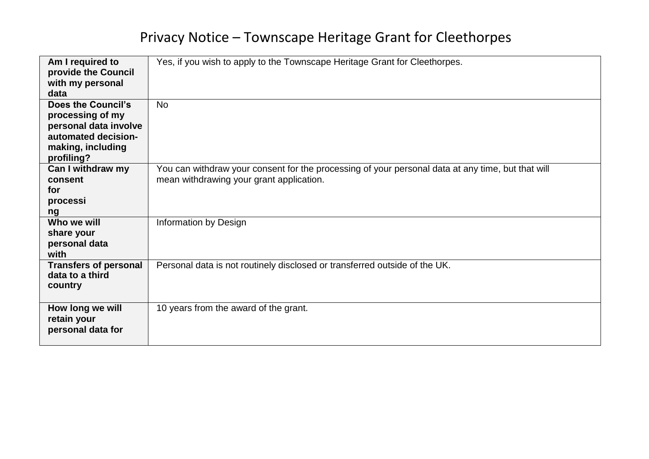## Privacy Notice – Townscape Heritage Grant for Cleethorpes

| Am I required to             | Yes, if you wish to apply to the Townscape Heritage Grant for Cleethorpes.                        |
|------------------------------|---------------------------------------------------------------------------------------------------|
| provide the Council          |                                                                                                   |
| with my personal             |                                                                                                   |
| data                         |                                                                                                   |
| Does the Council's           | <b>No</b>                                                                                         |
| processing of my             |                                                                                                   |
| personal data involve        |                                                                                                   |
| automated decision-          |                                                                                                   |
| making, including            |                                                                                                   |
| profiling?                   |                                                                                                   |
| Can I withdraw my            | You can withdraw your consent for the processing of your personal data at any time, but that will |
| consent                      | mean withdrawing your grant application.                                                          |
| for                          |                                                                                                   |
| processi                     |                                                                                                   |
| ng                           |                                                                                                   |
| Who we will                  | Information by Design                                                                             |
| share your                   |                                                                                                   |
| personal data                |                                                                                                   |
| with                         |                                                                                                   |
| <b>Transfers of personal</b> | Personal data is not routinely disclosed or transferred outside of the UK.                        |
| data to a third              |                                                                                                   |
| country                      |                                                                                                   |
|                              |                                                                                                   |
| How long we will             | 10 years from the award of the grant.                                                             |
| retain your                  |                                                                                                   |
| personal data for            |                                                                                                   |
|                              |                                                                                                   |